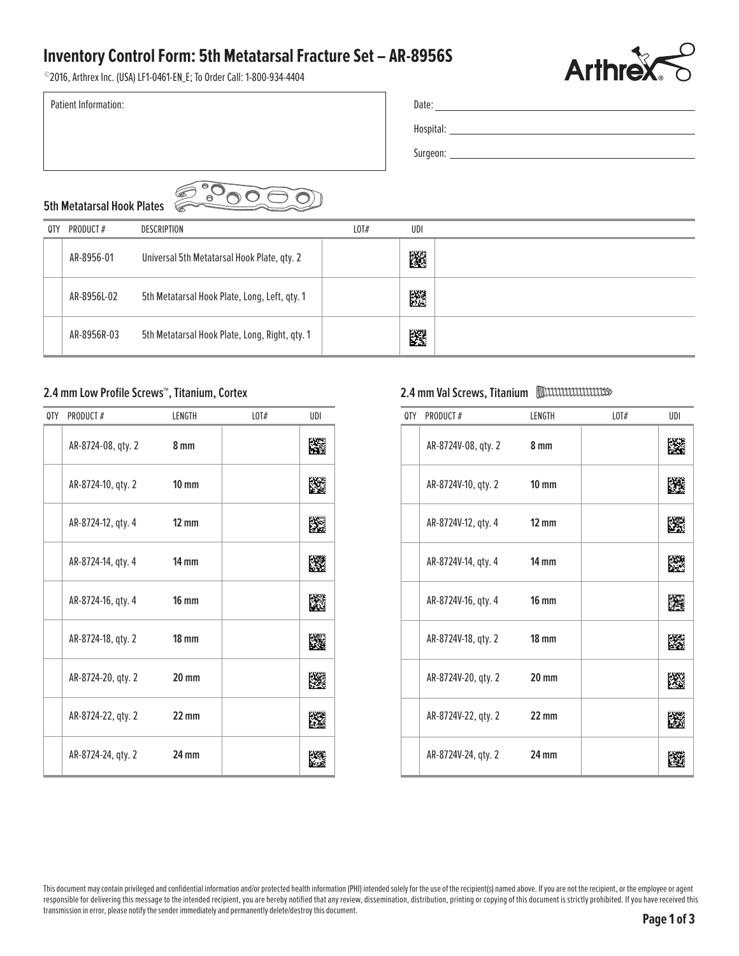### **Inventory Control Form: 5th Metatarsal Fracture Set – AR-8956S**



|  | <b>Arthrex~</b>                                                       |
|--|-----------------------------------------------------------------------|
|  |                                                                       |
|  |                                                                       |
|  |                                                                       |
|  |                                                                       |
|  |                                                                       |
|  | <b>Inventory Control Form: 5th Metatarsal Fracture Set - AR-8956S</b> |

# **5th Metatarsal Hook Plates**

| 0TY | PRODUCT#                                                                                                    | <b>DESCRIPTION</b>                             | LOT# | UDI |          |        |      |     |
|-----|-------------------------------------------------------------------------------------------------------------|------------------------------------------------|------|-----|----------|--------|------|-----|
|     | AR-8956-01                                                                                                  | Universal 5th Metatarsal Hook Plate, qty. 2    |      | 躨   |          |        |      |     |
|     | AR-8956L-02                                                                                                 | 5th Metatarsal Hook Plate, Long, Left, qty. 1  |      | 躚   |          |        |      |     |
|     | AR-8956R-03                                                                                                 | 5th Metatarsal Hook Plate, Long, Right, qty. 1 |      | 飂   |          |        |      |     |
|     | <b>MILLILLILLILLILLISSED</b><br>2.4 mm Val Screws, Titanium<br>2.4 mm Low Profile Screws™, Titanium, Cortex |                                                |      |     |          |        |      |     |
| 0TY | PRODUCT#                                                                                                    | $L$ <sup>#</sup><br>UDI<br>LENGTH              |      | 0TY | PRODUCT# | LENGTH | LOT# | UDI |

#### **2.4 mm Low Profile Screws™, Titanium, Cortex**

| 0TY | <b>PRODUCT#</b>    | LENGTH            | LOT# | UDI |
|-----|--------------------|-------------------|------|-----|
|     | AR-8724-08, qty. 2 | 8 mm              |      | 降   |
|     | AR-8724-10, qty. 2 | $10 \text{ mm}$   |      |     |
|     | AR-8724-12, qty. 4 | $12 \, \text{mm}$ |      |     |
|     | AR-8724-14, qty. 4 | $14 \text{ mm}$   |      |     |
|     | AR-8724-16, qty. 4 | $16 \text{ mm}$   |      | M.  |
|     | AR-8724-18, qty. 2 | $18 \text{ mm}$   |      |     |
|     | AR-8724-20, qty. 2 | $20 \text{ mm}$   |      |     |
|     | AR-8724-22, qty. 2 | $22 \text{ mm}$   |      |     |
|     | AR-8724-24, qty. 2 | 24 mm             |      |     |

### **2.4 mm Val Screws, Titanium**

| 0TY | PRODUCT#                  | LENGTH          | LOT# | UDI |
|-----|---------------------------|-----------------|------|-----|
|     | AR-8724V-08, qty. 2 8 mm  |                 |      |     |
|     | AR-8724V-10, qty. 2 10 mm |                 |      |     |
|     | AR-8724V-12, qty. 4 12 mm |                 |      |     |
|     | AR-8724V-14, qty. 4 14 mm |                 |      |     |
|     | AR-8724V-16, qty. 4 16 mm |                 |      | IF. |
|     | AR-8724V-18, qty. 2 18 mm |                 |      | p.  |
|     | AR-8724V-20, qty. 2       | $20$ mm         |      | K   |
|     | AR-8724V-22, qty. 2 22 mm |                 |      |     |
|     | AR-8724V-24, qty. 2       | $24 \text{ mm}$ |      |     |

This document may contain privileged and confidential information and/or protected health information (PHI) intended solely for the use of the recipient(s) named above. If you are not the recipient, or the employee or agen responsible for delivering this message to the intended recipient, you are hereby notified that any review, dissemination, distribution, printing or copying of this document is strictly prohibited. If you have received thi transmission in error, please notify the sender immediately and permanently delete/destroy this document.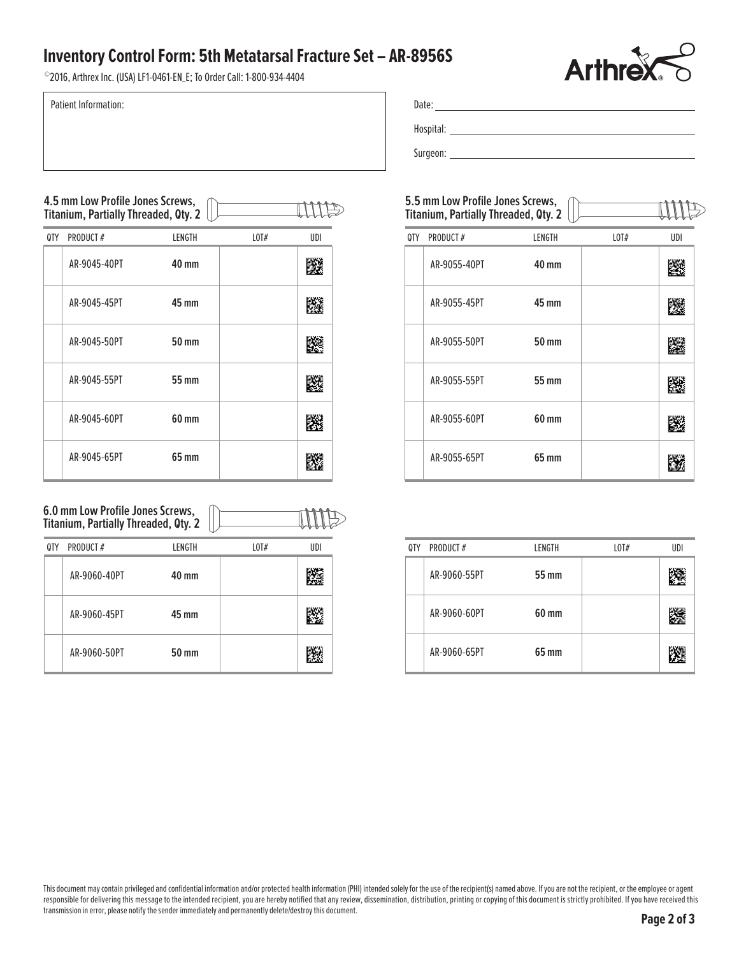## **Inventory Control Form: 5th Metatarsal Fracture Set – AR-8956S**

# Date: Hospital: Surgeon:

|     | - AK-8Y56S                                                               |        | <b>Arthrex</b>                                   |     |
|-----|--------------------------------------------------------------------------|--------|--------------------------------------------------|-----|
|     |                                                                          |        |                                                  |     |
|     |                                                                          |        |                                                  |     |
|     |                                                                          |        |                                                  |     |
|     | 5.5 mm Low Profile Jones Screws,<br>Titanium, Partially Threaded, Oty. 2 |        | $\frac{1}{\sqrt{1-\frac{1}{2}}\cdot\frac{1}{2}}$ |     |
| 0TY | PRODUCT#                                                                 | LENGTH | $L$ OT $#$                                       | UDI |
|     | AR-9055-40PT                                                             | 40 mm  |                                                  | 憠   |
|     | AR-9055-45PT                                                             | 45 mm  |                                                  | Иâ  |
|     | AR-9055-50PT                                                             | 50 mm  |                                                  | M   |
|     | AR-9055-55PT                                                             | 55 mm  |                                                  |     |
|     | AR-9055-60PT                                                             | 60 mm  |                                                  |     |
|     | AR-9055-65PT                                                             | 65 mm  |                                                  |     |

| 0TY | PRODUCT#     | LENGTH | LOT# | UDI |
|-----|--------------|--------|------|-----|
|     | AR-9060-55PT | 55 mm  |      |     |
|     | AR-9060-60PT | 60 mm  |      |     |
|     | AR-9060-65PT | 65 mm  |      |     |

#### **4.5 mm Low Profile Jones Screws, Titanium, Partially Threaded, Qty. 2**

| <b>Inventory Control Form: 5th Metatarsal Fractu</b><br>©2016, Arthrex Inc. (USA) LF1-0461-EN_E; To Order Call: 1-800-934-4404 |                                                                          |        |      |     |  |  |  |  |  |
|--------------------------------------------------------------------------------------------------------------------------------|--------------------------------------------------------------------------|--------|------|-----|--|--|--|--|--|
|                                                                                                                                | <b>Patient Information:</b>                                              |        |      |     |  |  |  |  |  |
|                                                                                                                                |                                                                          |        |      |     |  |  |  |  |  |
|                                                                                                                                | 4.5 mm Low Profile Jones Screws,<br>Titanium, Partially Threaded, Qty. 2 |        |      |     |  |  |  |  |  |
| 0TY                                                                                                                            | PRODUCT#                                                                 | LENGTH | LOTH | UDI |  |  |  |  |  |
|                                                                                                                                | AR-9045-40PT                                                             | 40 mm  |      | 83  |  |  |  |  |  |
|                                                                                                                                | AR-9045-45PT                                                             | 45 mm  |      | 隱   |  |  |  |  |  |
|                                                                                                                                | AR-9045-50PT                                                             | 50 mm  |      | K   |  |  |  |  |  |
|                                                                                                                                |                                                                          |        |      |     |  |  |  |  |  |
|                                                                                                                                | AR-9045-55PT                                                             | 55 mm  |      | 隣   |  |  |  |  |  |
|                                                                                                                                | AR-9045-60PT                                                             | 60 mm  |      | IÆ. |  |  |  |  |  |

#### **6.0 mm Low Profile Jones Screws, Titanium, Partially Threaded, Qty. 2**

TITES

| 0TY | PRODUCT#     | LENGTH       | LOT# | UDI |
|-----|--------------|--------------|------|-----|
|     | AR-9060-40PT | 40 mm        |      | 灐   |
|     | AR-9060-45PT | 45 mm        |      | 蹘   |
|     | AR-9060-50PT | <b>50 mm</b> |      | 躨   |

This document may contain privileged and confidential information and/or protected health information (PHI) intended solely for the use of the recipient(s) named above. If you are not the recipient, or the employee or agen responsible for delivering this message to the intended recipient, you are hereby notified that any review, dissemination, distribution, printing or copying of this document is strictly prohibited. If you have received thi transmission in error, please notify the sender immediately and permanently delete/destroy this document.